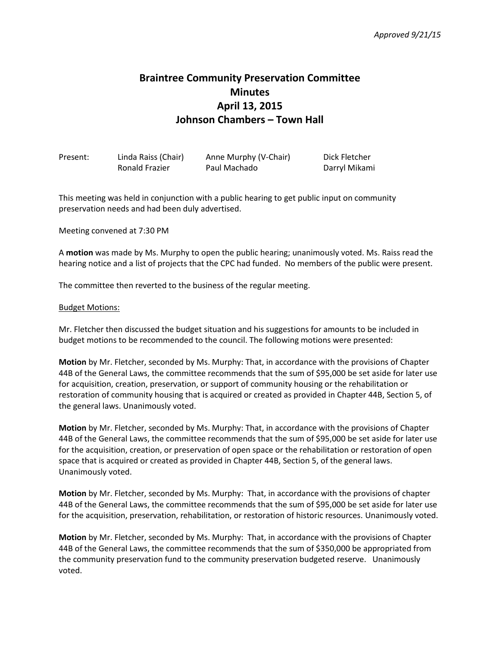## **Braintree Community Preservation Committee Minutes April 13, 2015 Johnson Chambers – Town Hall**

| Present: | Linda Raiss (Chair)   | Anne Murphy (V-Chair) | Dick Fletcher |
|----------|-----------------------|-----------------------|---------------|
|          | <b>Ronald Frazier</b> | Paul Machado          | Darryl Mikami |

This meeting was held in conjunction with a public hearing to get public input on community preservation needs and had been duly advertised.

Meeting convened at 7:30 PM

A **motion** was made by Ms. Murphy to open the public hearing; unanimously voted. Ms. Raiss read the hearing notice and a list of projects that the CPC had funded. No members of the public were present.

The committee then reverted to the business of the regular meeting.

## Budget Motions:

Mr. Fletcher then discussed the budget situation and his suggestions for amounts to be included in budget motions to be recommended to the council. The following motions were presented:

**Motion** by Mr. Fletcher, seconded by Ms. Murphy: That, in accordance with the provisions of Chapter 44B of the General Laws, the committee recommends that the sum of \$95,000 be set aside for later use for acquisition, creation, preservation, or support of community housing or the rehabilitation or restoration of community housing that is acquired or created as provided in Chapter 44B, Section 5, of the general laws. Unanimously voted.

**Motion** by Mr. Fletcher, seconded by Ms. Murphy: That, in accordance with the provisions of Chapter 44B of the General Laws, the committee recommends that the sum of \$95,000 be set aside for later use for the acquisition, creation, or preservation of open space or the rehabilitation or restoration of open space that is acquired or created as provided in Chapter 44B, Section 5, of the general laws. Unanimously voted.

**Motion** by Mr. Fletcher, seconded by Ms. Murphy: That, in accordance with the provisions of chapter 44B of the General Laws, the committee recommends that the sum of \$95,000 be set aside for later use for the acquisition, preservation, rehabilitation, or restoration of historic resources. Unanimously voted.

**Motion** by Mr. Fletcher, seconded by Ms. Murphy: That, in accordance with the provisions of Chapter 44B of the General Laws, the committee recommends that the sum of \$350,000 be appropriated from the community preservation fund to the community preservation budgeted reserve. Unanimously voted.